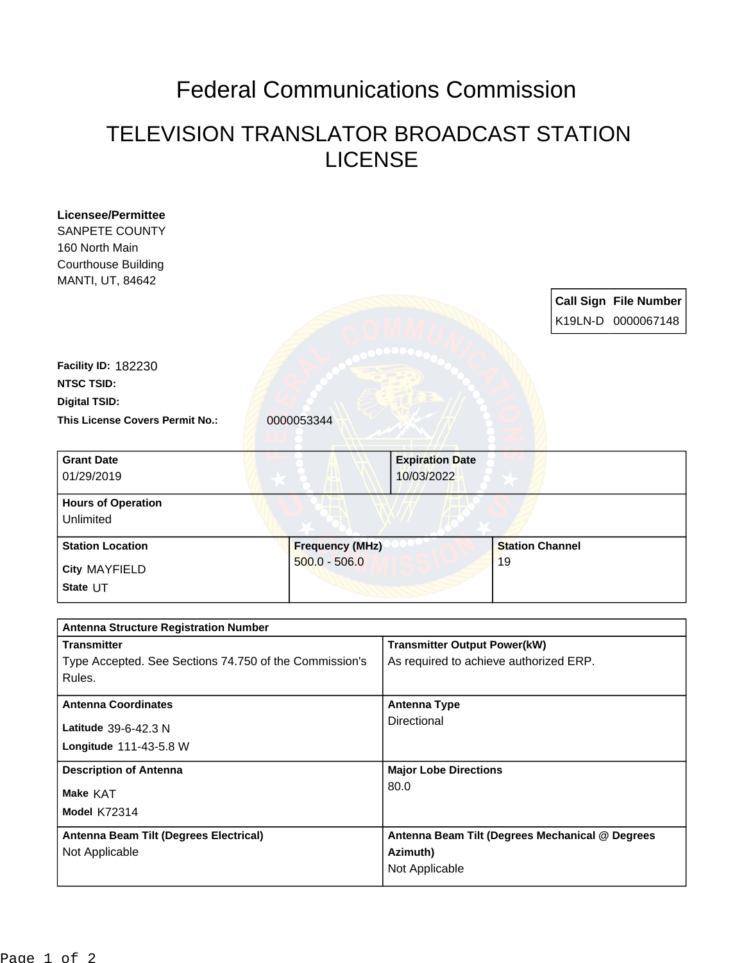## Federal Communications Commission

## TELEVISION TRANSLATOR BROADCAST STATION LICENSE

| <b>Licensee/Permittee</b>                              |                        |                                                 |                        |  |                              |
|--------------------------------------------------------|------------------------|-------------------------------------------------|------------------------|--|------------------------------|
| <b>SANPETE COUNTY</b>                                  |                        |                                                 |                        |  |                              |
| 160 North Main                                         |                        |                                                 |                        |  |                              |
| <b>Courthouse Building</b>                             |                        |                                                 |                        |  |                              |
| MANTI, UT, 84642                                       |                        |                                                 |                        |  |                              |
|                                                        |                        |                                                 |                        |  | <b>Call Sign File Number</b> |
|                                                        |                        |                                                 |                        |  | K19LN-D 0000067148           |
|                                                        |                        |                                                 |                        |  |                              |
| <b>Facility ID: 182230</b>                             |                        |                                                 |                        |  |                              |
| <b>NTSC TSID:</b>                                      |                        |                                                 |                        |  |                              |
| <b>Digital TSID:</b>                                   |                        |                                                 |                        |  |                              |
|                                                        |                        |                                                 |                        |  |                              |
| This License Covers Permit No.:                        | 0000053344             |                                                 |                        |  |                              |
| <b>Grant Date</b>                                      |                        | <b>Expiration Date</b>                          |                        |  |                              |
| 01/29/2019                                             |                        | 10/03/2022                                      |                        |  |                              |
| <b>Hours of Operation</b>                              |                        |                                                 |                        |  |                              |
| Unlimited                                              |                        |                                                 |                        |  |                              |
| <b>Station Location</b>                                | <b>Frequency (MHz)</b> |                                                 | <b>Station Channel</b> |  |                              |
| <b>City MAYFIELD</b>                                   | $500.0 - 506.0$        |                                                 | 19                     |  |                              |
| State UT                                               |                        |                                                 |                        |  |                              |
|                                                        |                        |                                                 |                        |  |                              |
| <b>Antenna Structure Registration Number</b>           |                        |                                                 |                        |  |                              |
| <b>Transmitter</b>                                     |                        | <b>Transmitter Output Power(kW)</b>             |                        |  |                              |
| Type Accepted. See Sections 74.750 of the Commission's |                        | As required to achieve authorized ERP.          |                        |  |                              |
| Rules.                                                 |                        |                                                 |                        |  |                              |
| <b>Antenna Coordinates</b>                             |                        | <b>Antenna Type</b>                             |                        |  |                              |
| Latitude 39-6-42.3 N                                   |                        | Directional                                     |                        |  |                              |
| Longitude 111-43-5.8 W                                 |                        |                                                 |                        |  |                              |
| <b>Description of Antenna</b>                          |                        | <b>Major Lobe Directions</b>                    |                        |  |                              |
| Make KAT                                               |                        | 80.0                                            |                        |  |                              |
| <b>Model K72314</b>                                    |                        |                                                 |                        |  |                              |
| Antenna Beam Tilt (Degrees Electrical)                 |                        | Antenna Beam Tilt (Degrees Mechanical @ Degrees |                        |  |                              |
| Not Applicable                                         |                        | Azimuth)                                        |                        |  |                              |
|                                                        |                        | Not Applicable                                  |                        |  |                              |
|                                                        |                        |                                                 |                        |  |                              |